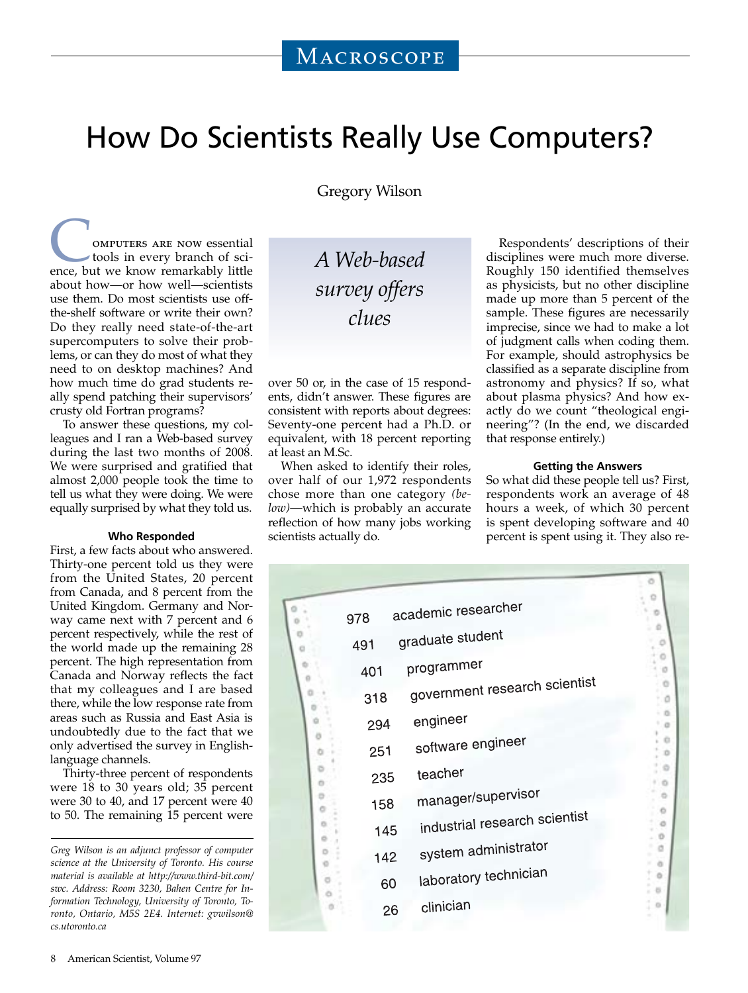# How Do Scientists Really Use Computers?

Gregory Wilson

**COMPUTERS ARE NOW essential**<br>tools in every branch of science, but we know remarkably little tools in every branch of sciabout how—or how well—scientists use them. Do most scientists use offthe-shelf software or write their own? Do they really need state-of-the-art supercomputers to solve their problems, or can they do most of what they need to on desktop machines? And how much time do grad students really spend patching their supervisors' crusty old Fortran programs?

To answer these questions, my colleagues and I ran a Web-based survey during the last two months of 2008. We were surprised and gratified that almost 2,000 people took the time to tell us what they were doing. We were equally surprised by what they told us.

## **Who Responded**

First, a few facts about who answered. Thirty-one percent told us they were from the United States, 20 percent from Canada, and 8 percent from the United Kingdom. Germany and Norway came next with 7 percent and 6 percent respectively, while the rest of the world made up the remaining 28 percent. The high representation from Canada and Norway reflects the fact that my colleagues and I are based there, while the low response rate from areas such as Russia and East Asia is undoubtedly due to the fact that we only advertised the survey in Englishlanguage channels.

Thirty-three percent of respondents were 18 to 30 years old; 35 percent were 30 to 40, and 17 percent were 40 to 50. The remaining 15 percent were *A Web-based survey offers clues*

over 50 or, in the case of 15 respondents, didn't answer. These figures are consistent with reports about degrees: Seventy-one percent had a Ph.D. or equivalent, with 18 percent reporting at least an M.Sc.

When asked to identify their roles, over half of our 1,972 respondents chose more than one category *(below)*—which is probably an accurate reflection of how many jobs working scientists actually do*.*

Respondents' descriptions of their disciplines were much more diverse. Roughly 150 identified themselves as physicists, but no other discipline made up more than 5 percent of the sample. These figures are necessarily imprecise, since we had to make a lot of judgment calls when coding them. For example, should astrophysics be classified as a separate discipline from astronomy and physics? If so, what about plasma physics? And how exactly do we count "theological engineering"? (In the end, we discarded that response entirely.)

### **Getting the Answers**

So what did these people tell us? First, respondents work an average of 48 hours a week, of which 30 percent is spent developing software and 40 percent is spent using it. They also re-

| academic researcher<br>978 |                               |  |
|----------------------------|-------------------------------|--|
| 491                        | graduate student              |  |
| 401                        | programmer                    |  |
| 318                        | government research scientist |  |
| 294                        | engineer                      |  |
| 251                        | software engineer             |  |
| 235                        | teacher                       |  |
| 158                        | manager/supervisor            |  |
| 145                        | industrial research scientist |  |
| 142                        | system administrator          |  |
| 60                         | laboratory technician         |  |
| 26                         | clinician                     |  |

*Greg Wilson is an adjunct professor of computer science at the University of Toronto. His course material is available at http://www.third-bit.com/ swc. Address: Room 3230, Bahen Centre for Information Technology, University of Toronto, Toronto, Ontario, M5S 2E4. Internet: gvwilson@ cs.utoronto.ca*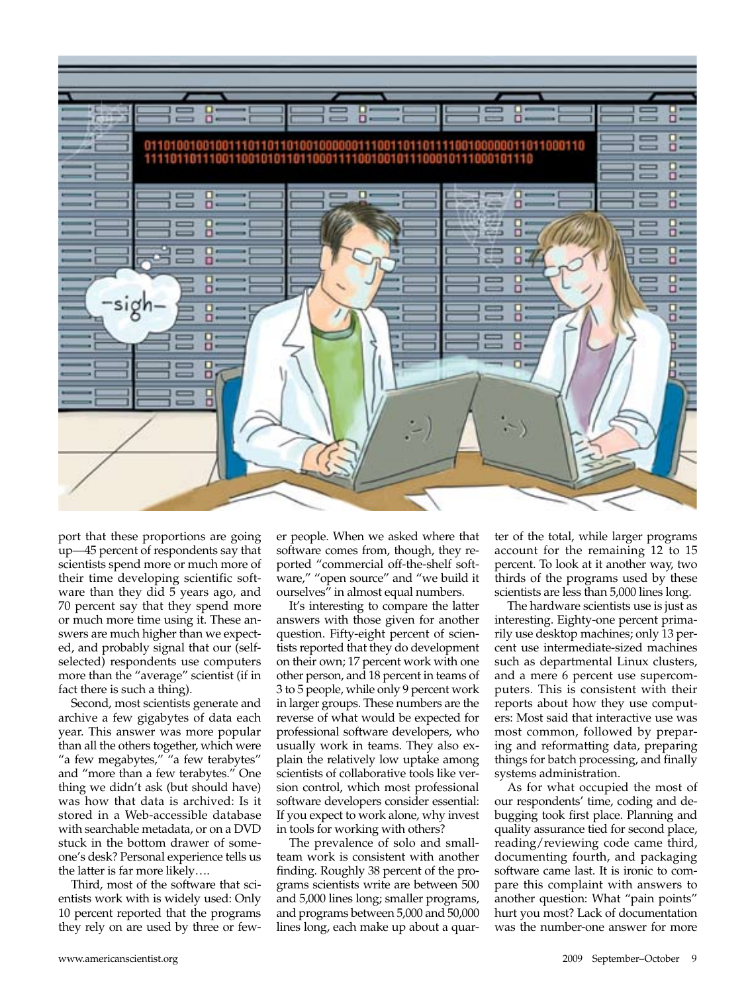

port that these proportions are going up—45 percent of respondents say that scientists spend more or much more of their time developing scientific software than they did 5 years ago, and 70 percent say that they spend more or much more time using it. These answers are much higher than we expected, and probably signal that our (selfselected) respondents use computers more than the "average" scientist (if in fact there is such a thing).

Second, most scientists generate and archive a few gigabytes of data each year. This answer was more popular than all the others together, which were "a few megabytes," "a few terabytes" and "more than a few terabytes." One thing we didn't ask (but should have) was how that data is archived: Is it stored in a Web-accessible database with searchable metadata, or on a DVD stuck in the bottom drawer of someone's desk? Personal experience tells us the latter is far more likely….

Third, most of the software that scientists work with is widely used: Only 10 percent reported that the programs they rely on are used by three or few-

er people. When we asked where that software comes from, though, they reported "commercial off-the-shelf software," "open source" and "we build it ourselves" in almost equal numbers.

It's interesting to compare the latter answers with those given for another question. Fifty-eight percent of scientists reported that they do development on their own; 17 percent work with one other person, and 18 percent in teams of 3 to 5 people, while only 9 percent work in larger groups. These numbers are the reverse of what would be expected for professional software developers, who usually work in teams. They also explain the relatively low uptake among scientists of collaborative tools like version control, which most professional software developers consider essential: If you expect to work alone, why invest in tools for working with others?

The prevalence of solo and smallteam work is consistent with another finding. Roughly 38 percent of the programs scientists write are between 500 and 5,000 lines long; smaller programs, and programs between 5,000 and 50,000 lines long, each make up about a quar-

ter of the total, while larger programs account for the remaining 12 to 15 percent. To look at it another way, two thirds of the programs used by these scientists are less than 5,000 lines long.

The hardware scientists use is just as interesting. Eighty-one percent primarily use desktop machines; only 13 percent use intermediate-sized machines such as departmental Linux clusters, and a mere 6 percent use supercomputers. This is consistent with their reports about how they use computers: Most said that interactive use was most common, followed by preparing and reformatting data, preparing things for batch processing, and finally systems administration.

As for what occupied the most of our respondents' time, coding and debugging took first place. Planning and quality assurance tied for second place, reading/reviewing code came third, documenting fourth, and packaging software came last. It is ironic to compare this complaint with answers to another question: What "pain points" hurt you most? Lack of documentation was the number-one answer for more